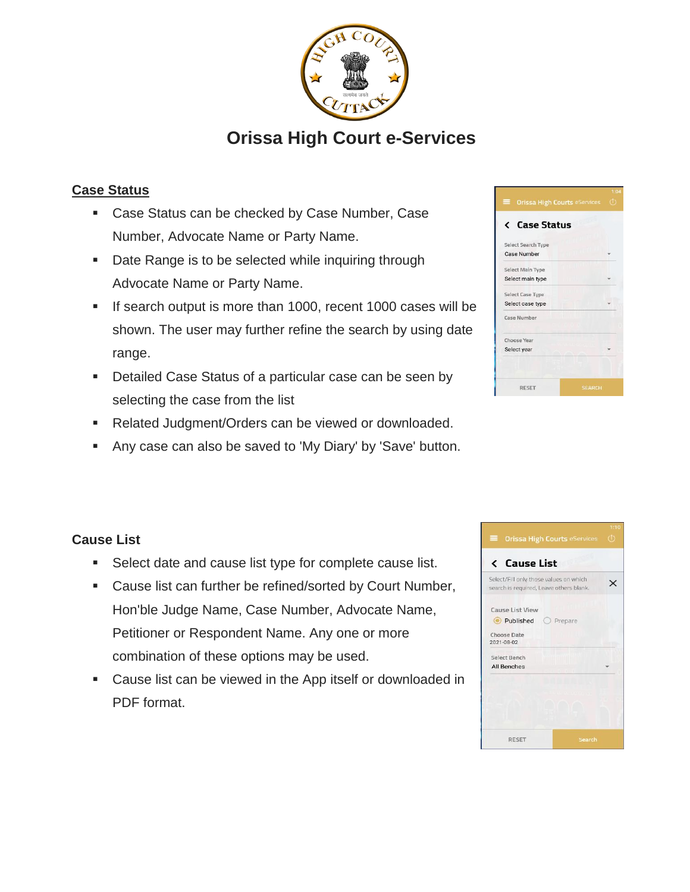

# **Orissa High Court e-Services**

# **Case Status**

- **Case Status can be checked by Case Number, Case** Number, Advocate Name or Party Name.
- Date Range is to be selected while inquiring through Advocate Name or Party Name.
- If search output is more than 1000, recent 1000 cases will be shown. The user may further refine the search by using date range.
- Detailed Case Status of a particular case can be seen by selecting the case from the list
- Related Judgment/Orders can be viewed or downloaded.
- Any case can also be saved to 'My Diary' by 'Save' button.

| <b>Orissa High Courts eServices</b><br>⋿ | 1:04<br>$\left(1\right)$ |
|------------------------------------------|--------------------------|
| <b>Case Status</b>                       |                          |
| Select Search Type<br><b>Case Number</b> |                          |
| Select Main Type<br>Select main type     |                          |
| Select Case Type<br>Select case type     |                          |
| Case Number                              |                          |
| Choose Year<br>Select year               |                          |
| <b>RESET</b><br><b>SEARCH</b>            |                          |

## **Cause List**

- **Select date and cause list type for complete cause list.**
- Cause list can further be refined/sorted by Court Number, Hon'ble Judge Name, Case Number, Advocate Name, Petitioner or Respondent Name. Any one or more combination of these options may be used.
- Cause list can be viewed in the App itself or downloaded in PDF format.

|                                         | 1:10    |
|-----------------------------------------|---------|
| $\equiv$ Orissa High Courts eServices   | $\circ$ |
| <b>&lt; Cause List</b>                  |         |
|                                         |         |
| Select/Fill only those values on which  | ×       |
| search is required, Leave others blank. |         |
| Cause List View                         |         |
|                                         |         |
| Published O Prepare                     |         |
| Choose Date                             |         |
| 2021-08-02                              |         |
| Select Bench                            |         |
| All Benches                             |         |
|                                         |         |
|                                         |         |
|                                         |         |
|                                         |         |
|                                         |         |
|                                         |         |
| <b>RESET</b><br>Search                  |         |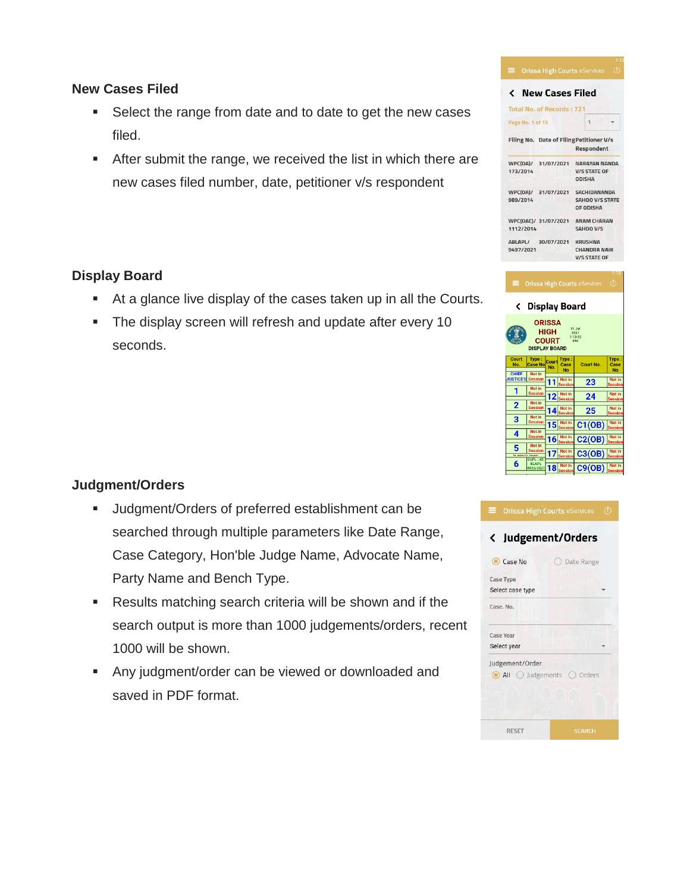#### **New Cases Filed**

- Select the range from date and to date to get the new cases filed.
- After submit the range, we received the list in which there are new cases filed number, date, petitioner v/s respondent

#### **Display Board**

- At a glance live display of the cases taken up in all the Courts.
- **The display screen will refresh and update after every 10** seconds.

#### **Judgment/Orders**

- Judgment/Orders of preferred establishment can be searched through multiple parameters like Date Range, Case Category, Hon'ble Judge Name, Advocate Name, Party Name and Bench Type.
- Results matching search criteria will be shown and if the search output is more than 1000 judgements/orders, recent 1000 will be shown.
- Any judgment/order can be viewed or downloaded and saved in PDF format.

| New Cases Filed<br>≺                                                                                    |                                                            |
|---------------------------------------------------------------------------------------------------------|------------------------------------------------------------|
| <b>Total No. of Records: 721</b>                                                                        |                                                            |
| Page No. 1 of 15                                                                                        | 1                                                          |
| Filing No.<br>Date of Filing Petitioner V/s                                                             | <b>Respondent</b>                                          |
| WPC(OA)/<br>31/07/2021<br>173/2014<br><b>ODISHA</b>                                                     | <b>NARAYAN NANDA</b><br><b>V/S STATE OF</b>                |
| WPC(OA)/<br>31/07/2021<br>989/2014                                                                      | <b>SACHIDANANDA</b><br><b>SAHOO V/S STATE</b><br>OF ODISHA |
| WPC(OAC)/ 31/07/2021<br>1112/2014                                                                       | <b>ANAM CHARAN</b><br>SAHOO V/S                            |
| ABLAPL/<br>30/07/2021<br><b>KRUSHNA</b><br>9497/2021                                                    | <b>CHANDRA NAIK</b>                                        |
|                                                                                                         | <b>V/S STATE OF</b>                                        |
| <b>Orissa High Courts eServices</b><br>⋿                                                                | 113<br>টে                                                  |
| <b>Display Board</b><br>$\overline{\phantom{0}}$                                                        |                                                            |
| <b>ORISSA</b><br>31 Jul<br>HIGH<br>2021<br>1:13:25<br><b>COURT</b><br><b>PM</b><br><b>DISPLAY BOARD</b> |                                                            |
| Court<br>Type:<br>Type:<br>Court<br>No.<br><b>Case No</b><br>Case<br>No.<br><b>No</b>                   | Type:<br>Court No.<br>Case<br><b>No</b>                    |
| <b>CHIEF</b><br>Not in<br><b>JUSTICES</b><br>Not in<br>Session<br>11                                    | Not in<br>23<br>essior                                     |
| Not in<br>1<br>Session<br>Not in<br>12                                                                  | Not in<br>24                                               |
| ession<br>Not in<br>$\overline{2}$<br>Session<br>Not in<br>14<br>essior                                 | <u>lessior</u><br>Not in<br>25                             |
| Not in<br>$\overline{\mathbf{3}}$<br>Not in<br>ession<br>15                                             | essior<br>Not in<br>C1(OB)                                 |
| Not in<br>4<br>Session<br>Not in<br>16                                                                  | essior<br>Not in                                           |
| ession<br>Not in<br>5<br>ession<br>Not in                                                               | C2(OB)<br>essior<br>Not in<br>C3(OB)<br>essior             |

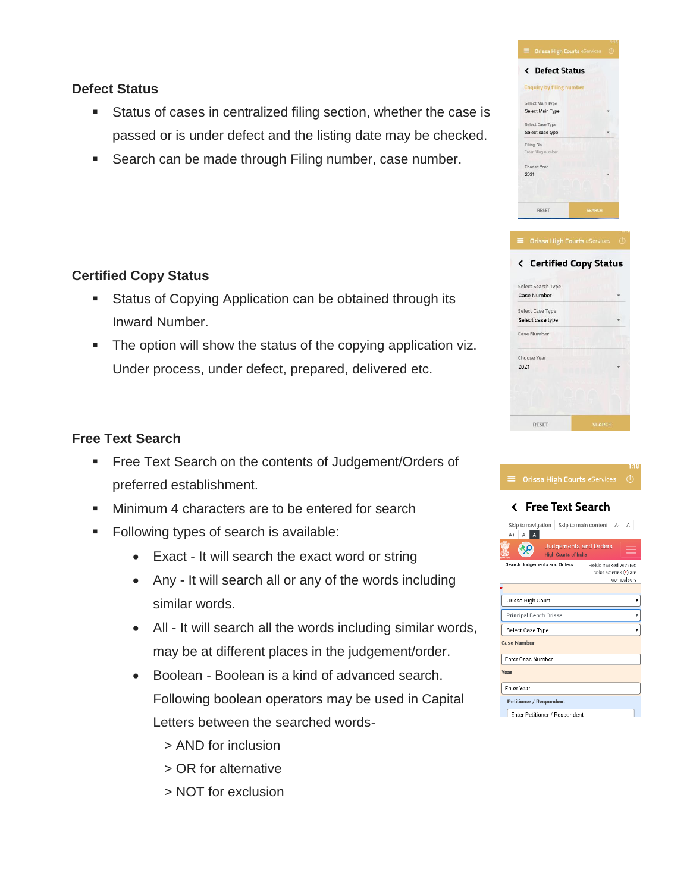### **Defect Status**

- Status of cases in centralized filing section, whether the case is passed or is under defect and the listing date may be checked.
- Search can be made through Filing number, case number.

## **Certified Copy Status**

- **Status of Copying Application can be obtained through its** Inward Number.
- **The option will show the status of the copying application viz.** Under process, under defect, prepared, delivered etc.

## **Free Text Search**

- Free Text Search on the contents of Judgement/Orders of preferred establishment.
- **Minimum 4 characters are to be entered for search**
- **Following types of search is available:** 
	- Exact It will search the exact word or string
	- Any It will search all or any of the words including similar words.
	- All It will search all the words including similar words, may be at different places in the judgement/order.
	- Boolean Boolean is a kind of advanced search. Following boolean operators may be used in Capital Letters between the searched words-
		- > AND for inclusion
		- > OR for alternative
		- > NOT for exclusion

| <b>Defect Status</b><br>८       |               |
|---------------------------------|---------------|
| <b>Enquiry by filing number</b> |               |
| Select Main Type                |               |
| Select Main Type                |               |
| Select Case Type                |               |
| Select case type                |               |
| <b>Filing No</b>                |               |
| Enter filing number             |               |
| Choose Year                     |               |
| 2021                            |               |
|                                 |               |
|                                 |               |
| <b>RESET</b>                    | <b>SEARCH</b> |

| <b>OHEEE FIRST COULD COOPTIVE</b>        |               |
|------------------------------------------|---------------|
| <b>Certified Copy Status</b><br>‹        |               |
| Select Search Type<br><b>Case Number</b> |               |
| Select Case Type<br>Select case type     |               |
| Case Number                              |               |
| Choose Year<br>2021                      |               |
|                                          |               |
| <b>RESET</b>                             | <b>SEARCH</b> |

| 1:18                                                                                           |
|------------------------------------------------------------------------------------------------|
| (İ)<br>=<br><b>Orissa High Courts eServices</b>                                                |
| <b>Free Text Search</b><br>૮                                                                   |
| Skip to navigation Skip to main content A-A<br>AA<br>$A +$                                     |
| <b>Judgements and Orders</b><br><b>High Courts of India</b>                                    |
| Search Judgements and Orders<br>Fields marked with red<br>color asterisk (*) are<br>compulsory |
|                                                                                                |
| Orissa High Court                                                                              |
| Principal Bench Orissa                                                                         |
| Select Case Type                                                                               |
| <b>Case Number</b>                                                                             |
| Enter Case Number                                                                              |
| Year                                                                                           |
| <b>Fnter Year</b>                                                                              |
| Petitioner / Respondent                                                                        |
| Enter Petitioner / Respondent                                                                  |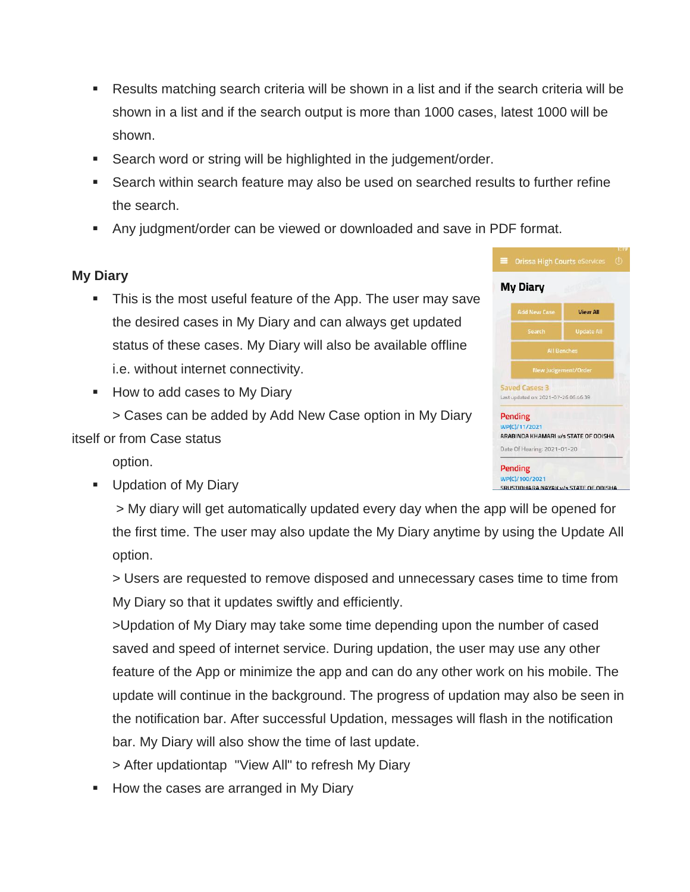- Results matching search criteria will be shown in a list and if the search criteria will be shown in a list and if the search output is more than 1000 cases, latest 1000 will be shown.
- Search word or string will be highlighted in the judgement/order.
- Search within search feature may also be used on searched results to further refine the search.
- Any judgment/order can be viewed or downloaded and save in PDF format.

# **My Diary**

- This is the most useful feature of the App. The user may save the desired cases in My Diary and can always get updated status of these cases. My Diary will also be available offline i.e. without internet connectivity.
- How to add cases to My Diary

> Cases can be added by Add New Case option in My Diary itself or from Case status

option.

**Updation of My Diary** 

> My diary will get automatically updated every day when the app will be opened for the first time. The user may also update the My Diary anytime by using the Update All option.

> Users are requested to remove disposed and unnecessary cases time to time from My Diary so that it updates swiftly and efficiently.

>Updation of My Diary may take some time depending upon the number of cased saved and speed of internet service. During updation, the user may use any other feature of the App or minimize the app and can do any other work on his mobile. The update will continue in the background. The progress of updation may also be seen in the notification bar. After successful Updation, messages will flash in the notification bar. My Diary will also show the time of last update.

- > After updationtap "View All" to refresh My Diary
- How the cases are arranged in My Diary

| <b>My Diary</b>                                        |                             |
|--------------------------------------------------------|-----------------------------|
| <b>Add New Case</b>                                    | <b>View All</b>             |
| Search                                                 | <b>Update All</b>           |
| <b>All Benches</b>                                     |                             |
| New Judgement/Order                                    |                             |
| Saved Cases: 3<br>Last updated on: 2021-07-26 06:46:39 |                             |
| <b>Pending</b><br>WP(C)/11/2021                        |                             |
| ARABINDA KHAMARI v/s STATE OF ODISHA                   |                             |
|                                                        | Date Of Hearing: 2021-01-20 |